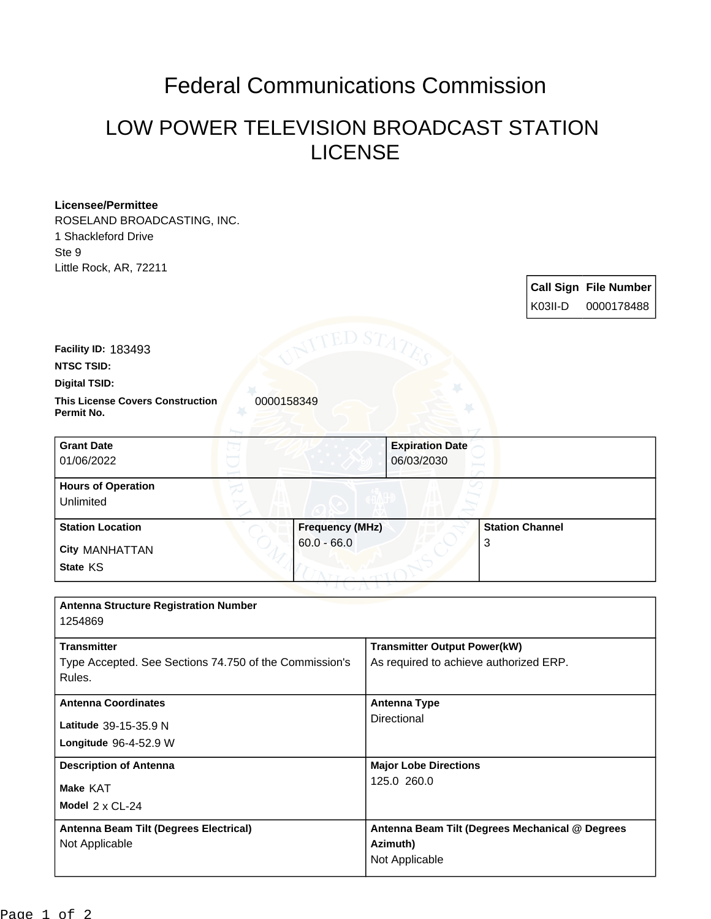## Federal Communications Commission

## LOW POWER TELEVISION BROADCAST STATION LICENSE

| <b>Licensee/Permittee</b>                                        |                        |                                        |                                                 |  |
|------------------------------------------------------------------|------------------------|----------------------------------------|-------------------------------------------------|--|
| ROSELAND BROADCASTING, INC.                                      |                        |                                        |                                                 |  |
| 1 Shackleford Drive                                              |                        |                                        |                                                 |  |
| Ste 9                                                            |                        |                                        |                                                 |  |
| Little Rock, AR, 72211                                           |                        |                                        |                                                 |  |
|                                                                  |                        |                                        | <b>Call Sign File Number</b>                    |  |
|                                                                  |                        |                                        | K03II-D<br>0000178488                           |  |
|                                                                  |                        |                                        |                                                 |  |
| Facility ID: 183493                                              |                        |                                        |                                                 |  |
| <b>NTSC TSID:</b>                                                |                        |                                        |                                                 |  |
| <b>Digital TSID:</b>                                             |                        |                                        |                                                 |  |
| <b>This License Covers Construction</b>                          | 0000158349             |                                        |                                                 |  |
| Permit No.                                                       |                        |                                        |                                                 |  |
| <b>Grant Date</b>                                                |                        | <b>Expiration Date</b>                 |                                                 |  |
| 01/06/2022                                                       |                        | 06/03/2030                             |                                                 |  |
| <b>Hours of Operation</b>                                        |                        |                                        |                                                 |  |
| Unlimited                                                        |                        |                                        |                                                 |  |
| <b>Station Location</b>                                          | <b>Frequency (MHz)</b> |                                        | <b>Station Channel</b>                          |  |
| City MANHATTAN                                                   | $60.0 - 66.0$          |                                        | 3                                               |  |
| State KS                                                         |                        |                                        |                                                 |  |
|                                                                  |                        |                                        |                                                 |  |
| <b>Antenna Structure Registration Number</b>                     |                        |                                        |                                                 |  |
| 1254869                                                          |                        |                                        |                                                 |  |
|                                                                  |                        |                                        |                                                 |  |
| <b>Transmitter</b>                                               |                        | <b>Transmitter Output Power(kW)</b>    |                                                 |  |
| Type Accepted. See Sections 74.750 of the Commission's<br>Rules. |                        | As required to achieve authorized ERP. |                                                 |  |
|                                                                  |                        |                                        |                                                 |  |
| <b>Antenna Coordinates</b>                                       |                        | <b>Antenna Type</b>                    |                                                 |  |
| Latitude 39-15-35.9 N                                            |                        | Directional                            |                                                 |  |
| Longitude 96-4-52.9 W                                            |                        |                                        |                                                 |  |
|                                                                  |                        | <b>Major Lobe Directions</b>           |                                                 |  |
| <b>Description of Antenna</b>                                    |                        | 125.0 260.0                            |                                                 |  |
| Make KAT                                                         |                        |                                        |                                                 |  |
| Model 2 x CL-24                                                  |                        |                                        |                                                 |  |
| Antenna Beam Tilt (Degrees Electrical)                           |                        |                                        | Antenna Beam Tilt (Degrees Mechanical @ Degrees |  |
| Not Applicable                                                   |                        | Azimuth)                               |                                                 |  |
|                                                                  |                        | Not Applicable                         |                                                 |  |